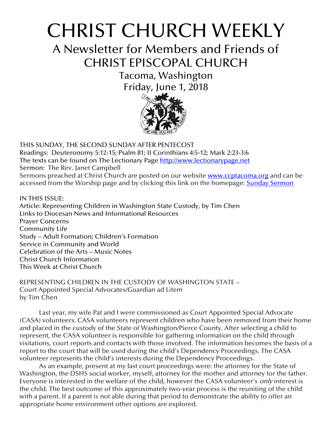# CHRIST CHURCH WEEKLY

A Newsletter for Members and Friends of CHRIST EPISCOPAL CHURCH

> Tacoma, Washington Friday, June 1, 2018



THIS SUNDAY, THE SECOND SUNDAY AFTER PENTECOST Readings: Deuteronomy 5:12-15; Psalm 81; II Corinthians 4:5-12; Mark 2:23-3:6 The texts can be found on The Lectionary Page [http://www.lectionarypage.net](http://www.lectionarypage.net/) Sermon: The Rev. Janet Campbell Sermons preached at Christ Church are posted on our website **[www.ccptacoma.org](http://www.ccptacoma.org/)** and can be accessed from the Worship page and by clicking this link on the homepage: Sunday [Sermon](http://www.ccptacoma.org/article/43/worship/sermons)

IN THIS ISSUE: Article: Representing Children in Washington State Custody, by Tim Chen Links to Diocesan News and Informational Resources Prayer Concerns Community Life Study – Adult Formation; Children's Formation Service in Community and World Celebration of the Arts – Music Notes Christ Church Information This Week at Christ Church

REPRESENTING CHILDREN IN THE CUSTODY OF WASHINGTON STATE – Court Appointed Special Advocates/Guardian ad Litem by Tim Chen

Last year, my wife Pat and I were commissioned as Court Appointed Special Advocate (CASA) volunteers. CASA volunteers represent children who have been removed from their home and placed in the custody of the State of Washington/Pierce County. After selecting a child to represent, the CASA volunteer is responsible for gathering information on the child through visitations, court reports and contacts with those involved. The information becomes the basis of a report to the court that will be used during the child's Dependency Proceedings. The CASA volunteer represents the child's interests during the Dependency Proceedings.

As an example, present at my last court proceedings were: the attorney for the State of Washington, the DSHS social worker, myself, attorney for the mother and attorney for the father. Everyone is interested in the welfare of the child, however the CASA volunteer's *only* interest is the child. The best outcome of this approximately two-year process is the reuniting of the child with a parent. If a parent is not able during that period to demonstrate the ability to offer an appropriate home environment other options are explored.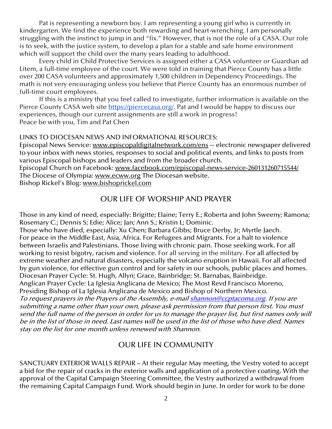Pat is representing a newborn boy. I am representing a young girl who is currently in kindergarten. We find the experience both rewarding and heart-wrenching. I am personally struggling with the instinct to jump in and "fix." However, that is not the role of a CASA. Our role is to seek, with the justice system, to develop a plan for a stable and safe home environment which will support the child over the many years leading to adulthood.

Every child in Child Protective Services is assigned either a CASA volunteer or Guardian ad Litem, a full-time employee of the court. We were told in training that Pierce County has a little over 200 CASA volunteers and approximately 1,500 children in Dependency Proceedings. The math is not very encouraging unless you believe that Pierce County has an enormous number of full-time court employees.

If this is a ministry that you feel called to investigate, further information is available on the Pierce County CASA web site [https://piercecasa.org/.](https://piercecasa.org/) Pat and I would be happy to discuss our experiences, though our current assignments are still a work in progress! Peace be with you, Tim and Pat Chen

#### LINKS TO DIOCESAN NEWS AND INFORMATIONAL RESOURCES:

Episcopal News Service: [www.episcopaldigitalnetwork.com/ens](http://www.episcopaldigitalnetwork.com/ens) -- electronic newspaper delivered to your inbox with news stories, responses to social and political events, and links to posts from various Episcopal bishops and leaders and from the broader church.

Episcopal Church on Facebook: [www.facebook.com/episcopal-news-service-260131260715544/](http://www.facebook.com/episcopal-news-service-260131260715544/) The Diocese of Olympia: [www.ecww.org](http://www.ecww.org/) The Diocesan website.

Bishop Rickel's Blog: [www.bishoprickel.com](http://www.bishoprickel.com/)

#### OUR LIFE OF WORSHIP AND PRAYER

Those in any kind of need, especially: Brigitte; Elaine; Terry E.; Roberta and John Sweeny; Ramona; Rosemary C.; Dennis S; Edie; Alice; Jan; Ann S.; Kristin L; Dominic.

Those who have died, especially: Xu Chen; Barbara Gibbs; Bruce Derby, Jr; Myrtle Jaech. For peace in the Middle East, Asia, Africa. For Refugees and Migrants. For a halt to violence between Israelis and Palestinians. Those living with chronic pain. Those seeking work. For all working to resist bigotry, racism and violence. For all serving in the military. For all affected by extreme weather and natural disasters, especially the volcano eruption in Hawaii. For all affected by gun violence, for effective gun control and for safety in our schools, public places and homes. Diocesan Prayer Cycle: St. Hugh, Allyn; Grace, Bainbridge; St. Barnabas, Bainbridge. Anglican Prayer Cycle: La Iglesia Anglicana de Mexico; The Most Revd Francisco Moreno,

Presiding Bishop of La Iglesia Anglicana de Mexico and Bishop of Northern Mexico.

To request prayers in the Prayers of the Assembly, e-mai[l shannon@ccptacoma.org.](mailto:shannon@ccptacoma.org) If you are submitting a name other than your own, please ask permission from that person first. You must send the full name of the person in order for us to manage the prayer list, but first names only will be in the list of those in need. Last names will be used in the list of those who have died. Names stay on the list for one month unless renewed with Shannon.

## OUR LIFE IN COMMUNITY

SANCTUARY EXTERIOR WALLS REPAIR – At their regular May meeting, the Vestry voted to accept a bid for the repair of cracks in the exterior walls and application of a protective coating. With the approval of the Capital Campaign Steering Committee, the Vestry authorized a withdrawal from the remaining Capital Campaign Fund. Work should begin in June. In order for work to be done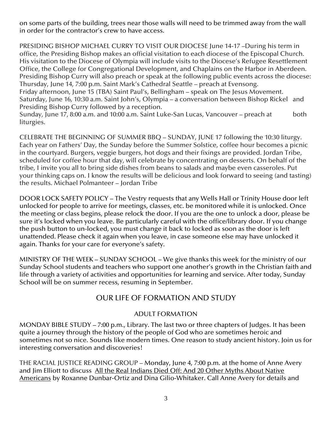on some parts of the building, trees near those walls will need to be trimmed away from the wall in order for the contractor's crew to have access.

PRESIDING BISHOP MICHAEL CURRY TO VISIT OUR DIOCESE June 14-17 –During his term in office, the Presiding Bishop makes an official visitation to each diocese of the Episcopal Church. His visitation to the Diocese of Olympia will include visits to the Diocese's Refugee Resettlement Office, the College for Congregational Development, and Chaplains on the Harbor in Aberdeen. Presiding Bishop Curry will also preach or speak at the following public events across the diocese: Thursday, June 14, 7:00 p.m. Saint Mark's Cathedral Seattle – preach at Evensong. Friday afternoon, June 15 (TBA) Saint Paul's, Bellingham – speak on The Jesus Movement. Saturday, June 16, 10:30 a.m. Saint John's, Olympia – a conversation between Bishop Rickel and Presiding Bishop Curry followed by a reception. Sunday, June 17, 8:00 a.m. and 10:00 a.m. Saint Luke-San Lucas, Vancouver – preach at both

liturgies.

CELEBRATE THE BEGINNING OF SUMMER BBQ – SUNDAY, JUNE 17 following the 10:30 liturgy. Each year on Fathers' Day, the Sunday before the Summer Solstice, coffee hour becomes a picnic in the courtyard. Burgers, veggie burgers, hot dogs and their fixings are provided. Jordan Tribe, scheduled for coffee hour that day, will celebrate by concentrating on desserts. On behalf of the tribe, I invite you all to bring side dishes from beans to salads and maybe even casseroles. Put your thinking caps on. I know the results will be delicious and look forward to seeing (and tasting) the results. Michael Polmanteer – Jordan Tribe

DOOR LOCK SAFETY POLICY – The Vestry requests that any Wells Hall or Trinity House door left unlocked for people to arrive for meetings, classes, etc. be monitored while it is unlocked. Once the meeting or class begins, please relock the door. If you are the one to unlock a door, please be sure it's locked when you leave. Be particularly careful with the office/library door. If you change the push button to un-locked, you must change it back to locked as soon as the door is left unattended. Please check it again when you leave, in case someone else may have unlocked it again. Thanks for your care for everyone's safety.

MINISTRY OF THE WEEK – SUNDAY SCHOOL – We give thanks this week for the ministry of our Sunday School students and teachers who support one another's growth in the Christian faith and life through a variety of activities and opportunities for learning and service. After today, Sunday School will be on summer recess, resuming in September.

# OUR LIFE OF FORMATION AND STUDY

## ADULT FORMATION

MONDAY BIBLE STUDY – 7:00 p.m., Library. The last two or three chapters of Judges. It has been quite a journey through the history of the people of God who are sometimes heroic and sometimes not so nice. Sounds like modern times. One reason to study ancient history. Join us for interesting conversation and discoveries!

THE RACIAL JUSTICE READING GROUP – Monday, June 4, 7:00 p.m. at the home of Anne Avery and Jim Elliott to discuss All the Real Indians Died Off: And 20 Other Myths About Native Americans by [Roxanne Dunbar-Ortiz](https://www.amazon.com/Roxanne-Dunbar-Ortiz/e/B001HQ28N8/ref=sr_ntt_srch_lnk_1?qid=1525148525&sr=1-1) and [Dina Gilio-Whitaker.](https://www.amazon.com/Dina-Gilio-Whitaker/e/B01LOZ8O2K/ref=sr_ntt_srch_lnk_1?qid=1525148525&sr=1-1) Call Anne Avery for details and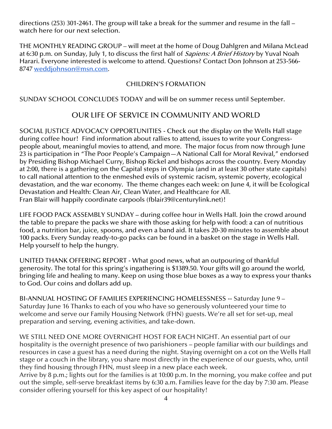directions (253) 301-2461. The group will take a break for the summer and resume in the fall – watch here for our next selection.

THE MONTHLY READING GROUP – will meet at the home of Doug Dahlgren and Milana McLead at 6:30 p.m. on Sunday, July 1, to discuss the first half of *Sapiens: A Brief History* by Yuval Noah Harari. Everyone interested is welcome to attend. Questions? Contact Don Johnson at 253-566- 8747 [weddjohnson@msn.com.](mailto:weddjohnson@msn.com)

## CHILDREN'S FORMATION

SUNDAY SCHOOL CONCLUDES TODAY and will be on summer recess until September.

# OUR LIFE OF SERVICE IN COMMUNITY AND WORLD

SOCIAL JUSTICE ADVOCACY OPPORTUNITIES - Check out the display on the Wells Hall stage during coffee hour! Find information about rallies to attend, issues to write your Congresspeople about, meaningful movies to attend, and more. The major focus from now through June 23 is participation in "The Poor People's Campaign—A National Call for Moral Revival," endorsed by Presiding Bishop Michael Curry, Bishop Rickel and bishops across the country. Every Monday at 2:00, there is a gathering on the Capital steps in Olympia (and in at least 30 other state capitals) to call national attention to the enmeshed evils of systemic racism, systemic poverty, ecological devastation, and the war economy. The theme changes each week: on June 4, it will be Ecological Devastation and Health: Clean Air, Clean Water, and Healthcare for All. Fran Blair will happily coordinate carpools (fblair39@centurylink.net)!

LIFE FOOD PACK ASSEMBLY SUNDAY – during coffee hour in Wells Hall. Join the crowd around the table to prepare the packs we share with those asking for help with food: a can of nutritious food, a nutrition bar, juice, spoons, and even a band aid. It takes 20-30 minutes to assemble about 100 packs. Every Sunday ready-to-go packs can be found in a basket on the stage in Wells Hall. Help yourself to help the hungry.

UNITED THANK OFFERING REPORT - What good news, what an outpouring of thankful generosity. The total for this spring's ingathering is \$1389.50. Your gifts will go around the world, bringing life and healing to many. Keep on using those blue boxes as a way to express your thanks to God. Our coins and dollars add up.

BI-ANNUAL HOSTING OF FAMILIES EXPERIENCING HOMELESSNESS -- Saturday June 9 – Saturday June 16 Thanks to each of you who have so generously volunteered your time to welcome and serve our Family Housing Network (FHN) guests. We're all set for set-up, meal preparation and serving, evening activities, and take-down.

WE STILL NEED ONE MORE OVERNIGHT HOST FOR EACH NIGHT. An essential part of our hospitality is the overnight presence of two parishioners – people familiar with our buildings and resources in case a guest has a need during the night. Staying overnight on a cot on the Wells Hall stage or a couch in the library, you share most directly in the experience of our guests, who, until they find housing through FHN, must sleep in a new place each week.

Arrive by 8 p.m.; lights out for the families is at 10:00 p.m. In the morning, you make coffee and put out the simple, self-serve breakfast items by 6:30 a.m. Families leave for the day by 7:30 am. Please consider offering yourself for this key aspect of our hospitality!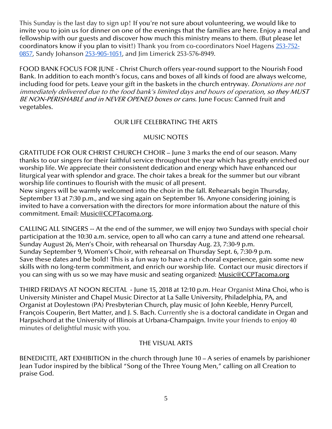This Sunday is the last day to sign up! If you're not sure about volunteering, we would like to invite you to join us for dinner on one of the evenings that the families are here. Enjoy a meal and fellowship with our guests and discover how much this ministry means to them. (But please let coordinators know if you plan to visit!) Thank you from co-coordinators Noel Hagens [253-752-](https://webmail.rainierconnect.com/images/blank.png) [0857,](https://webmail.rainierconnect.com/images/blank.png) Sandy Johanson [253-905-1051,](https://webmail.rainierconnect.com/images/blank.png) and Jim Limerick 253-576-8949.

FOOD BANK FOCUS FOR JUNE - Christ Church offers year-round support to the Nourish Food Bank. In addition to each month's focus, cans and boxes of all kinds of food are always welcome, including food for pets. Leave your gift in the baskets in the church entryway. *Donations are not* immediately delivered due to the food bank's limited days and hours of operation, so they MUST BE NON-PERISHABLE and in NEVER OPENED boxes or cans. June Focus: Canned fruit and vegetables.

#### OUR LIFE CELEBRATING THE ARTS

#### MUSIC NOTES

GRATITUDE FOR OUR CHRIST CHURCH CHOIR – June 3 marks the end of our season. Many thanks to our singers for their faithful service throughout the year which has greatly enriched our worship life. We appreciate their consistent dedication and energy which have enhanced our liturgical year with splendor and grace. The choir takes a break for the summer but our vibrant worship life continues to flourish with the music of all present.

New singers will be warmly welcomed into the choir in the fall. Rehearsals begin Thursday, September 13 at 7:30 p.m., and we sing again on September 16. Anyone considering joining is invited to have a conversation with the directors for more information about the nature of this commitment. Email: [Music@CCPTacoma.org.](mailto:Music@CCPTacoma.org)

CALLING ALL SINGERS -- At the end of the summer, we will enjoy two Sundays with special choir participation at the 10:30 a.m. service, open to all who can carry a tune and attend one rehearsal. Sunday August 26, Men's Choir, with rehearsal on Thursday Aug. 23, 7:30-9 p.m. Sunday September 9, Women's Choir, with rehearsal on Thursday Sept. 6, 7:30-9 p.m. Save these dates and be bold! This is a fun way to have a rich choral experience, gain some new skills with no long-term commitment, and enrich our worship life. Contact our music directors if you can sing with us so we may have music and seating organized: [Music@CCPTacoma.org](mailto:Music@CCPTacoma.org)

THIRD FRIDAYS AT NOON RECITAL - June 15, 2018 at 12:10 p.m. Hear Organist Mina Choi, who is University Minister and Chapel Music Director at La Salle University, Philadelphia, PA, and Organist at Doylestown (PA) Presbyterian Church, play music of John Keeble, Henry Purcell, François Couperin, Bert Matter, and J. S. Bach. Currently she is a doctoral candidate in Organ and Harpsichord at the University of Illinois at Urbana-Champaign. Invite your friends to enjoy 40 minutes of delightful music with you.

## THE VISUAL ARTS

BENEDICITE, ART EXHIBITION in the church through June 10 – A series of enamels by parishioner Jean Tudor inspired by the biblical "Song of the Three Young Men," calling on all Creation to praise God.